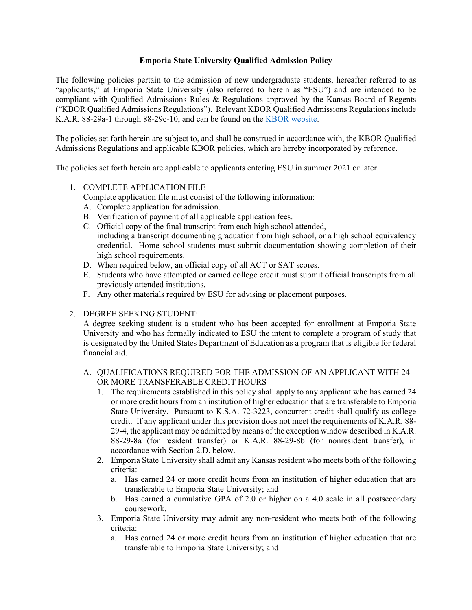# **Emporia State University Qualified Admission Policy**

The following policies pertain to the admission of new undergraduate students, hereafter referred to as "applicants," at Emporia State University (also referred to herein as "ESU") and are intended to be compliant with Qualified Admissions Rules & Regulations approved by the Kansas Board of Regents ("KBOR Qualified Admissions Regulations"). Relevant KBOR Qualified Admissions Regulations include K.A.R. 88-29a-1 through 88-29c-10, and can be found on the [KBOR website.](https://www.kansasregents.org/about/rules-regulations/qualified-admissions-rules-regulations)

The policies set forth herein are subject to, and shall be construed in accordance with, the KBOR Qualified Admissions Regulations and applicable KBOR policies, which are hereby incorporated by reference.

The policies set forth herein are applicable to applicants entering ESU in summer 2021 or later.

# 1. COMPLETE APPLICATION FILE

Complete application file must consist of the following information:

- A. Complete application for admission.
- B. Verification of payment of all applicable application fees.
- C. Official copy of the final transcript from each high school attended, including a transcript documenting graduation from high school, or a high school equivalency credential. Home school students must submit documentation showing completion of their high school requirements.
- D. When required below, an official copy of all ACT or SAT scores.
- E. Students who have attempted or earned college credit must submit official transcripts from all previously attended institutions.
- F. Any other materials required by ESU for advising or placement purposes.
- 2. DEGREE SEEKING STUDENT:

A degree seeking student is a student who has been accepted for enrollment at Emporia State University and who has formally indicated to ESU the intent to complete a program of study that is designated by the United States Department of Education as a program that is eligible for federal financial aid.

# A. QUALIFICATIONS REQUIRED FOR THE ADMISSION OF AN APPLICANT WITH 24 OR MORE TRANSFERABLE CREDIT HOURS

- 1. The requirements established in this policy shall apply to any applicant who has earned 24 or more credit hours from an institution of higher education that are transferable to Emporia State University. Pursuant to K.S.A. 72-3223, concurrent credit shall qualify as college credit. If any applicant under this provision does not meet the requirements of K.A.R. 88- 29-4, the applicant may be admitted by means of the exception window described in K.A.R. 88-29-8a (for resident transfer) or K.A.R. 88-29-8b (for nonresident transfer), in accordance with Section 2.D. below.
- 2. Emporia State University shall admit any Kansas resident who meets both of the following criteria:
	- a. Has earned 24 or more credit hours from an institution of higher education that are transferable to Emporia State University; and
	- b. Has earned a cumulative GPA of 2.0 or higher on a 4.0 scale in all postsecondary coursework.
- 3. Emporia State University may admit any non-resident who meets both of the following criteria:
	- a. Has earned 24 or more credit hours from an institution of higher education that are transferable to Emporia State University; and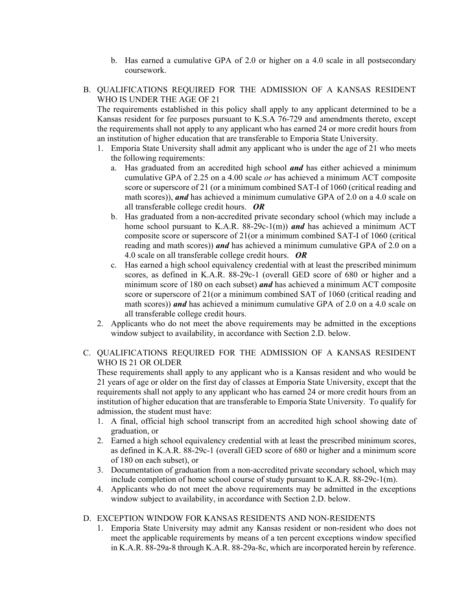- b. Has earned a cumulative GPA of 2.0 or higher on a 4.0 scale in all postsecondary coursework.
- B. QUALIFICATIONS REQUIRED FOR THE ADMISSION OF A KANSAS RESIDENT WHO IS UNDER THE AGE OF 21

The requirements established in this policy shall apply to any applicant determined to be a Kansas resident for fee purposes pursuant to K.S.A 76-729 and amendments thereto, except the requirements shall not apply to any applicant who has earned 24 or more credit hours from an institution of higher education that are transferable to Emporia State University.

- 1. Emporia State University shall admit any applicant who is under the age of 21 who meets the following requirements:
	- a. Has graduated from an accredited high school *and* has either achieved a minimum cumulative GPA of 2.25 on a 4.00 scale *or* has achieved a minimum ACT composite score or superscore of 21 (or a minimum combined SAT-I of 1060 (critical reading and math scores)), *and* has achieved a minimum cumulative GPA of 2.0 on a 4.0 scale on all transferable college credit hours. *OR*
	- b. Has graduated from a non-accredited private secondary school (which may include a home school pursuant to K.A.R. 88-29c-1(m)) *and* has achieved a minimum ACT composite score or superscore of 21(or a minimum combined SAT-I of 1060 (critical reading and math scores)) *and* has achieved a minimum cumulative GPA of 2.0 on a 4.0 scale on all transferable college credit hours. *OR*
	- c. Has earned a high school equivalency credential with at least the prescribed minimum scores, as defined in K.A.R. 88-29c-1 (overall GED score of 680 or higher and a minimum score of 180 on each subset) *and* has achieved a minimum ACT composite score or superscore of 21(or a minimum combined SAT of 1060 (critical reading and math scores)) *and* has achieved a minimum cumulative GPA of 2.0 on a 4.0 scale on all transferable college credit hours.
- 2. Applicants who do not meet the above requirements may be admitted in the exceptions window subject to availability, in accordance with Section 2.D. below.

# C. QUALIFICATIONS REQUIRED FOR THE ADMISSION OF A KANSAS RESIDENT WHO IS 21 OR OLDER

These requirements shall apply to any applicant who is a Kansas resident and who would be 21 years of age or older on the first day of classes at Emporia State University, except that the requirements shall not apply to any applicant who has earned 24 or more credit hours from an institution of higher education that are transferable to Emporia State University. To qualify for admission, the student must have:

- 1. A final, official high school transcript from an accredited high school showing date of graduation, or
- 2. Earned a high school equivalency credential with at least the prescribed minimum scores, as defined in K.A.R. 88-29c-1 (overall GED score of 680 or higher and a minimum score of 180 on each subset), or
- 3. Documentation of graduation from a non-accredited private secondary school, which may include completion of home school course of study pursuant to K.A.R. 88-29c-1(m).
- 4. Applicants who do not meet the above requirements may be admitted in the exceptions window subject to availability, in accordance with Section 2.D. below.

# D. EXCEPTION WINDOW FOR KANSAS RESIDENTS AND NON-RESIDENTS

1. Emporia State University may admit any Kansas resident or non-resident who does not meet the applicable requirements by means of a ten percent exceptions window specified in K.A.R. 88-29a-8 through K.A.R. 88-29a-8c, which are incorporated herein by reference.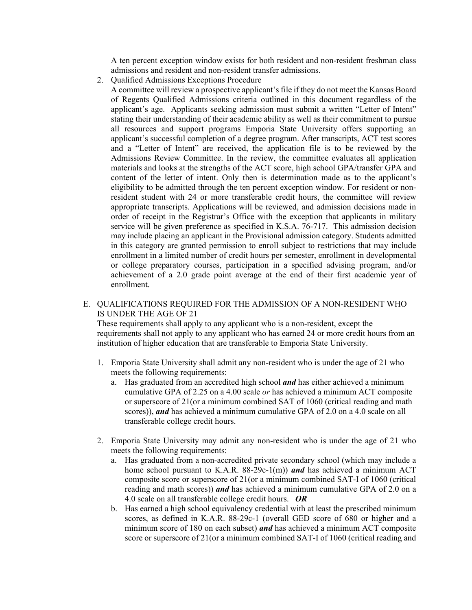A ten percent exception window exists for both resident and non-resident freshman class admissions and resident and non-resident transfer admissions.

2. Qualified Admissions Exceptions Procedure

A committee will review a prospective applicant's file if they do not meet the Kansas Board of Regents Qualified Admissions criteria outlined in this document regardless of the applicant's age. Applicants seeking admission must submit a written "Letter of Intent" stating their understanding of their academic ability as well as their commitment to pursue all resources and support programs Emporia State University offers supporting an applicant's successful completion of a degree program. After transcripts, ACT test scores and a "Letter of Intent" are received, the application file is to be reviewed by the Admissions Review Committee. In the review, the committee evaluates all application materials and looks at the strengths of the ACT score, high school GPA/transfer GPA and content of the letter of intent. Only then is determination made as to the applicant's eligibility to be admitted through the ten percent exception window. For resident or nonresident student with 24 or more transferable credit hours, the committee will review appropriate transcripts. Applications will be reviewed, and admission decisions made in order of receipt in the Registrar's Office with the exception that applicants in military service will be given preference as specified in K.S.A. 76-717. This admission decision may include placing an applicant in the Provisional admission category. Students admitted in this category are granted permission to enroll subject to restrictions that may include enrollment in a limited number of credit hours per semester, enrollment in developmental or college preparatory courses, participation in a specified advising program, and/or achievement of a 2.0 grade point average at the end of their first academic year of enrollment.

### E. QUALIFICATIONS REQUIRED FOR THE ADMISSION OF A NON-RESIDENT WHO IS UNDER THE AGE OF 21

These requirements shall apply to any applicant who is a non-resident, except the requirements shall not apply to any applicant who has earned 24 or more credit hours from an institution of higher education that are transferable to Emporia State University.

- 1. Emporia State University shall admit any non-resident who is under the age of 21 who meets the following requirements:
	- a. Has graduated from an accredited high school *and* has either achieved a minimum cumulative GPA of 2.25 on a 4.00 scale *or* has achieved a minimum ACT composite or superscore of 21(or a minimum combined SAT of 1060 (critical reading and math scores)), *and* has achieved a minimum cumulative GPA of 2.0 on a 4.0 scale on all transferable college credit hours.
- 2. Emporia State University may admit any non-resident who is under the age of 21 who meets the following requirements:
	- a. Has graduated from a non-accredited private secondary school (which may include a home school pursuant to K.A.R. 88-29c-1(m)) *and* has achieved a minimum ACT composite score or superscore of 21(or a minimum combined SAT-I of 1060 (critical reading and math scores)) *and* has achieved a minimum cumulative GPA of 2.0 on a 4.0 scale on all transferable college credit hours. *OR*
	- b. Has earned a high school equivalency credential with at least the prescribed minimum scores, as defined in K.A.R. 88-29c-1 (overall GED score of 680 or higher and a minimum score of 180 on each subset) *and* has achieved a minimum ACT composite score or superscore of 21(or a minimum combined SAT-I of 1060 (critical reading and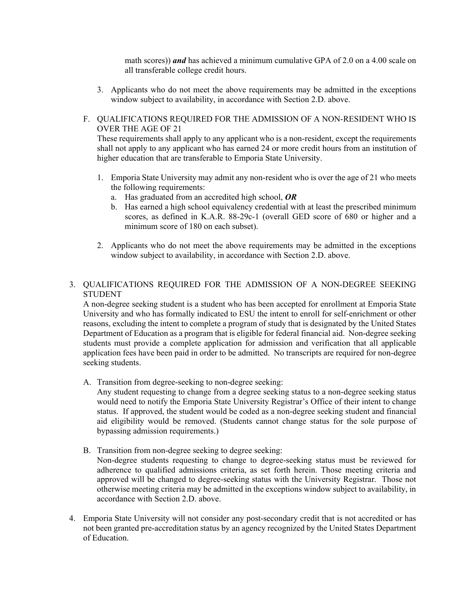math scores)) *and* has achieved a minimum cumulative GPA of 2.0 on a 4.00 scale on all transferable college credit hours.

- 3. Applicants who do not meet the above requirements may be admitted in the exceptions window subject to availability, in accordance with Section 2.D. above.
- F. QUALIFICATIONS REQUIRED FOR THE ADMISSION OF A NON-RESIDENT WHO IS OVER THE AGE OF 21

These requirements shall apply to any applicant who is a non-resident, except the requirements shall not apply to any applicant who has earned 24 or more credit hours from an institution of higher education that are transferable to Emporia State University.

- 1. Emporia State University may admit any non-resident who is over the age of 21 who meets the following requirements:
	- a. Has graduated from an accredited high school, *OR*
	- b. Has earned a high school equivalency credential with at least the prescribed minimum scores, as defined in K.A.R. 88-29c-1 (overall GED score of 680 or higher and a minimum score of 180 on each subset).
- 2. Applicants who do not meet the above requirements may be admitted in the exceptions window subject to availability, in accordance with Section 2.D. above.
- 3. QUALIFICATIONS REQUIRED FOR THE ADMISSION OF A NON-DEGREE SEEKING **STUDENT**

A non-degree seeking student is a student who has been accepted for enrollment at Emporia State University and who has formally indicated to ESU the intent to enroll for self-enrichment or other reasons, excluding the intent to complete a program of study that is designated by the United States Department of Education as a program that is eligible for federal financial aid. Non-degree seeking students must provide a complete application for admission and verification that all applicable application fees have been paid in order to be admitted. No transcripts are required for non-degree seeking students.

A. Transition from degree-seeking to non-degree seeking:

Any student requesting to change from a degree seeking status to a non-degree seeking status would need to notify the Emporia State University Registrar's Office of their intent to change status. If approved, the student would be coded as a non-degree seeking student and financial aid eligibility would be removed. (Students cannot change status for the sole purpose of bypassing admission requirements.)

B. Transition from non-degree seeking to degree seeking:

Non-degree students requesting to change to degree-seeking status must be reviewed for adherence to qualified admissions criteria, as set forth herein. Those meeting criteria and approved will be changed to degree-seeking status with the University Registrar. Those not otherwise meeting criteria may be admitted in the exceptions window subject to availability, in accordance with Section 2.D. above.

4. Emporia State University will not consider any post-secondary credit that is not accredited or has not been granted pre-accreditation status by an agency recognized by the United States Department of Education.